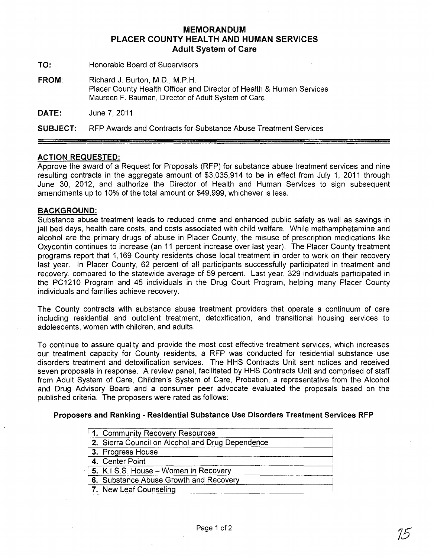# **MEMORANDUM PLACER COUNTY HEALTH AND HUMAN SERVICES Adult System of Care**

**TO:** Honorable Board of Supervisors

**FROM:** Richard J. Burton, M.D., M.P.H. Placer County Health Officer and Director of Health & Human Services Maureen F. Bauman, Director of Adult System of Care

**DATE:** June 7,2011

**SUBJECT:** RFP Awards and Contracts for Substance Abuse Treatment Services

## **ACTION REQUESTED:**

Approve the award of a Request for Proposals (RFP) for substance abuse treatment services and nine resulting contracts in the aggregate amount of \$3,035,914 to be in effect from July 1, 2011 through June 30, 2012, and authorize the Director of Health and Human Services to sign subsequent amendments up to 10% of the total amount or \$49,999, whichever is less.

### **BACKGROUND:**

Substance abuse treatment leads to reduced crime and enhanced public safety as well as savings in jail bed days, health care costs, and costs associated with child welfare. While methamphetamine and. alcohol are the primary drugs of abuse in Placer County, the misuse of prescription medications like Oxycontin continues to increase (an 11 percent increase over last year). The Placer County treatment programs report that 1,169 County residents chose local treatment in order to work on their recovery last year. In Placer County, 62 percent of all participants successfully participated in treatment and recovery, compared to the statewide average of 59 percent. Last year, 329 individuals participated in the PC1210 Program and 45 individuals in the Drug Court Program, helping many Placer County individuals and families achieve recovery.

The County contracts with substance abuse treatment providers that operate a continuum of care including residential and outclient treatment, detoxification, and transitional housing services to adolescents, women with children, and adults.

To continue to assure quality and provide the most cost effective treatment services, which increases our treatment capacity for County residents, a RFP was conducted for residential substance use disorders treatment and detoxification services. The HHS Contracts Unit sent notices and received seven proposals in response. A review panel, facilitated by HHS Contracts Unit and comprised of staff from Adult System of Care, Children's System of Care, Probation, a representative from the Alcohol and Drug Advisory Board and a consumer peer advocate evaluated the proposals based on the published criteria. The proposers were rated as follows:

## **Proposers and Ranking - Residential Substance Use Disorders Treatment Services RFP**

| 1. Community Recovery Resources                  |
|--------------------------------------------------|
| 2. Sierra Council on Alcohol and Drug Dependence |
| 3. Progress House                                |
| 4. Center Point                                  |
| 5. K.I.S.S. House - Women in Recovery            |
| 6. Substance Abuse Growth and Recovery           |
| 7. New Leaf Counseling                           |